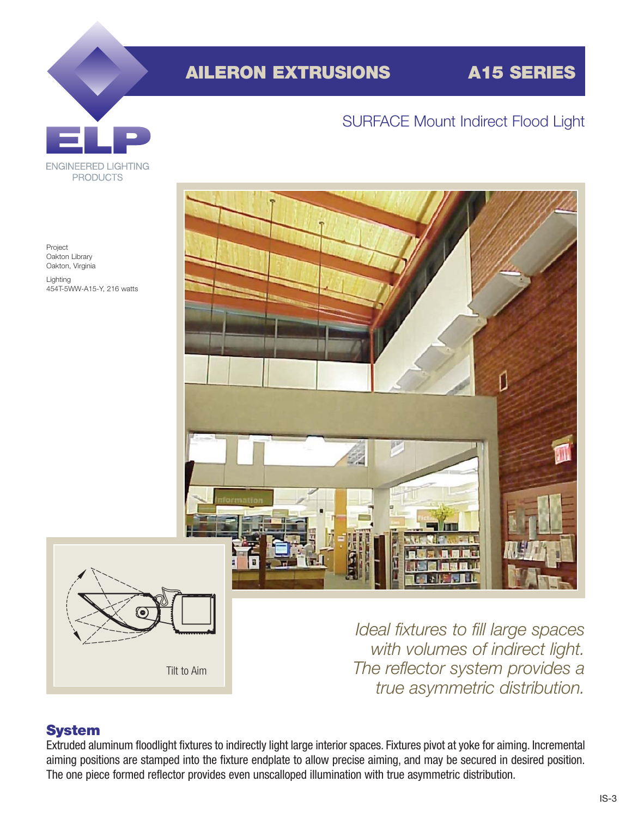# **AILERON EXTRUSIONS A15 SERIES**

### SURFACE Mount Indirect Flood Light









*Ideal fixtures to fill large spaces with volumes of indirect light. The reflector system provides a true asymmetric distribution.*

#### **System**

Extruded aluminum floodlight fixtures to indirectly light large interior spaces. Fixtures pivot at yoke for aiming. Incremental aiming positions are stamped into the fixture endplate to allow precise aiming, and may be secured in desired position. The one piece formed reflector provides even unscalloped illumination with true asymmetric distribution.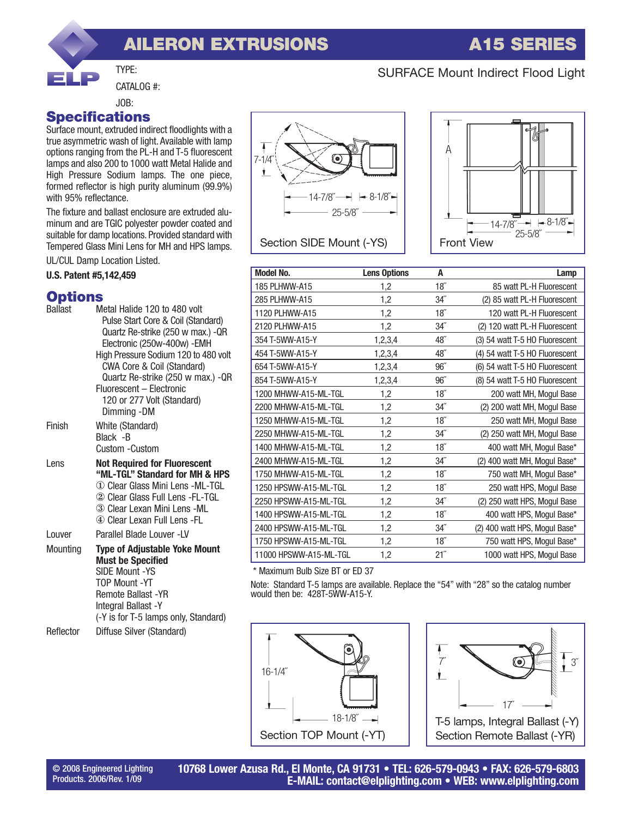# **AILERON EXTRUSIONS A15 SERIES**

#### SURFACE Mount Indirect Flood Light

CATALOG #:

TYPE:

#### **Specifications** JOB:

Surface mount, extruded indirect floodlights with a true asymmetric wash of light. Available with lamp options ranging from the PL-H and T-5 fluorescent lamps and also 200 to 1000 watt Metal Halide and High Pressure Sodium lamps. The one piece, formed reflector is high purity aluminum (99.9%) with 95% reflectance.

The fixture and ballast enclosure are extruded aluminum and are TGIC polyester powder coated and suitable for damp locations. Provided standard with Tempered Glass Mini Lens for MH and HPS lamps.

UL/CUL Damp Location Listed.

#### **U.S. Patent #5,142,459**

#### **Options**

| Ballast   | Metal Halide 120 to 480 volt<br>Pulse Start Core & Coil (Standard)<br>Quartz Re-strike (250 w max.) - QR<br>Electronic (250w-400w) - EMH<br>High Pressure Sodium 120 to 480 volt<br>CWA Core & Coil (Standard)<br>Quartz Re-strike (250 w max.) - QR<br>Fluorescent - Electronic<br>120 or 277 Volt (Standard)<br>Dimming -DM |
|-----------|-------------------------------------------------------------------------------------------------------------------------------------------------------------------------------------------------------------------------------------------------------------------------------------------------------------------------------|
| Finish    | White (Standard)<br>Black - B<br>Custom -Custom                                                                                                                                                                                                                                                                               |
| Lens      | <b>Not Required for Fluorescent</b><br>"ML-TGL" Standard for MH & HPS<br>① Clear Glass Mini Lens -ML-TGL<br>② Clear Glass Full Lens -FL-TGL<br>3 Clear Lexan Mini Lens -ML<br>4) Clear Lexan Full Lens -FL                                                                                                                    |
| Louver    | Parallel Blade Louver -LV                                                                                                                                                                                                                                                                                                     |
| Mounting  | <b>Type of Adjustable Yoke Mount</b><br><b>Must be Specified</b><br><b>SIDE Mount -YS</b><br>TOP Mount -YT<br>Remote Ballast - YR<br>Integral Ballast -Y<br>(-Y is for T-5 lamps only, Standard)                                                                                                                              |
| Reflector | Diffuse Silver (Standard)                                                                                                                                                                                                                                                                                                     |





| <b>Model No.</b>       | <b>Lens Options</b> | A                | Lamp                           |
|------------------------|---------------------|------------------|--------------------------------|
| 185 PLHWW-A15          | 1,2                 | 18 <sup>7</sup>  | 85 watt PL-H Fluorescent       |
| 285 PLHWW-A15          | 1,2                 | $34$ "           | (2) 85 watt PL-H Fluorescent   |
| 1120 PLHWW-A15         | 1,2                 | 18 <sup>''</sup> | 120 watt PL-H Fluorescent      |
| 2120 PLHWW-A15         | 1,2                 | $34$ "           | (2) 120 watt PL-H Fluorescent  |
| 354 T-5WW-A15-Y        | 1,2,3,4             | 48"              | (3) 54 watt T-5 HO Fluorescent |
| 454 T-5WW-A15-Y        | 1,2,3,4             | 48"              | (4) 54 watt T-5 HO Fluorescent |
| 654 T-5WW-A15-Y        | 1,2,3,4             | 96               | (6) 54 watt T-5 HO Fluorescent |
| 854 T-5WW-A15-Y        | 1,2,3,4             | 96''             | (8) 54 watt T-5 HO Fluorescent |
| 1200 MHWW-A15-ML-TGL   | 1,2                 | 18 <sup>''</sup> | 200 watt MH, Mogul Base        |
| 2200 MHWW-A15-ML-TGL   | 1,2                 | $34$ "           | (2) 200 watt MH, Mogul Base    |
| 1250 MHWW-A15-ML-TGL   | 1,2                 | 18 <sup>7</sup>  | 250 watt MH, Mogul Base        |
| 2250 MHWW-A15-ML-TGL   | 1,2                 | $34$ "           | (2) 250 watt MH, Mogul Base    |
| 1400 MHWW-A15-ML-TGL   | 1,2                 | 18 <sup>7</sup>  | 400 watt MH, Mogul Base*       |
| 2400 MHWW-A15-ML-TGL   | 1,2                 | $34$ "           | (2) 400 watt MH, Mogul Base*   |
| 1750 MHWW-A15-ML-TGL   | 1,2                 | 18 <sup>7</sup>  | 750 watt MH, Mogul Base*       |
| 1250 HPSWW-A15-ML-TGL  | 1,2                 | 18 <sup>''</sup> | 250 watt HPS, Mogul Base       |
| 2250 HPSWW-A15-ML-TGL  | 1,2                 | $34$ "           | (2) 250 watt HPS, Mogul Base   |
| 1400 HPSWW-A15-ML-TGL  | 1,2                 | 18 <sup>''</sup> | 400 watt HPS, Mogul Base*      |
| 2400 HPSWW-A15-ML-TGL  | 1,2                 | $34$ "           | (2) 400 watt HPS, Mogul Base*  |
| 1750 HPSWW-A15-ML-TGL  | 1,2                 | 18 <sup>''</sup> | 750 watt HPS, Mogul Base*      |
| 11000 HPSWW-A15-ML-TGL | 1,2                 | 21"              | 1000 watt HPS, Mogul Base      |

\* Maximum Bulb Size BT or ED 37

Note: Standard T-5 lamps are available. Replace the "54" with "28" so the catalog number would then be: 428T-5WW-A15-Y.





© 2008 Engineered Lighting Products. 2006/Rev. 1/09

**10768 Lower Azusa Rd., El Monte, CA 91731 • TEL: 626-579-0943 • FAX: 626-579-6803 E-MAIL: contact@elplighting.com • WEB: www.elplighting.com**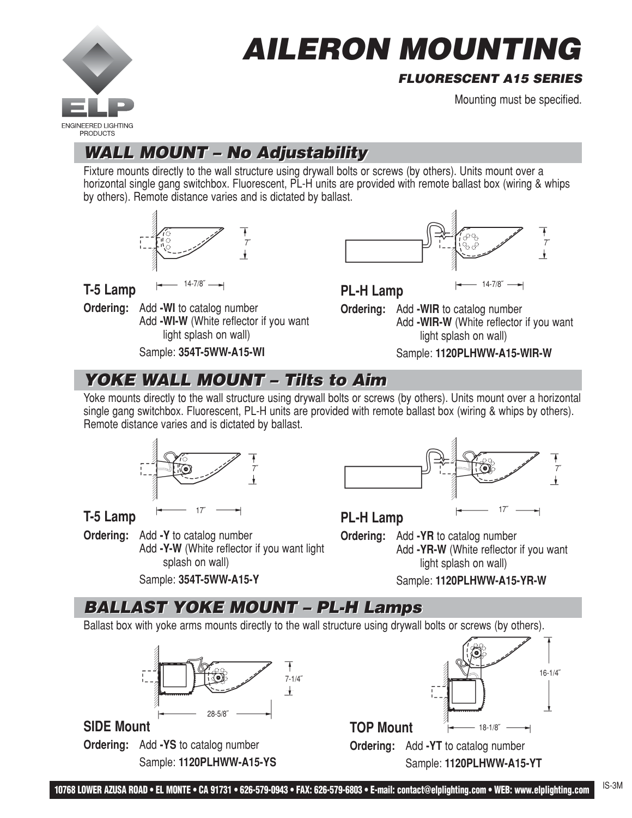

# **AILERON MOUNTING**

#### **FLUORESCENT A15 SERIES**

Mounting must be specified.

# **WALL MOUNT – No Adjustability WALL MOUNT – No Adjustability**

Fixture mounts directly to the wall structure using drywall bolts or screws (by others). Units mount over a horizontal single gang switchbox. Fluorescent, PL-H units are provided with remote ballast box (wiring & whips by others). Remote distance varies and is dictated by ballast.



**T-5 Lamp**

**Ordering:** Add **-WI** to catalog number Add **-WI-W** (White reflector if you want light splash on wall)

Sample: **354T-5WW-A15-WI**



14-7/8<sup> $\overline{P}$ </sup> **PL-H Lamp** 

**Ordering:** Add **-WIR** to catalog number Add **-WIR-W** (White reflector if you want light splash on wall)

Sample: **1120PLHWW-A15-WIR-W**

# **YOKE WALL MOUNT – Tilts to Aim YOKE WALL MOUNT – Tilts to Aim**

Yoke mounts directly to the wall structure using drywall bolts or screws (by others). Units mount over a horizontal single gang switchbox. Fluorescent, PL-H units are provided with remote ballast box (wiring & whips by others). Remote distance varies and is dictated by ballast.



**T-5 Lamp**

**Ordering:** Add **-Y** to catalog number Add **-Y-W** (White reflector if you want light splash on wall)

Sample: **354T-5WW-A15-Y**



**PL-H Lamp**

**Ordering:** Add **-YR** to catalog number Add **-YR-W** (White reflector if you want light splash on wall)

Sample: **1120PLHWW-A15-YR-W**

# **BALLAST YOKE MOUNT – PL-H Lamps BALLAST YOKE MOUNT – PL-H Lamps**

Ballast box with yoke arms mounts directly to the wall structure using drywall bolts or screws (by others).



**SIDE Mount**

**Ordering:** Add **-YS** to catalog number Sample: **1120PLHWW-A15-YS**



Sample: **1120PLHWW-A15-YT**